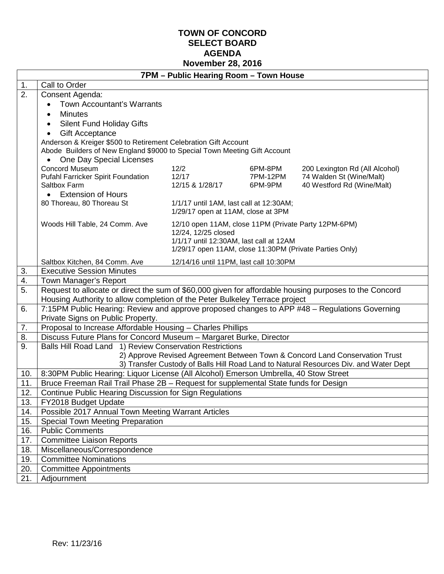## **TOWN OF CONCORD SELECT BOARD AGENDA November 28, 2016**

|          | 7PM - Public Hearing Room - Town House                                                                                                                                                |                                                                               |          |                                                                                      |  |  |
|----------|---------------------------------------------------------------------------------------------------------------------------------------------------------------------------------------|-------------------------------------------------------------------------------|----------|--------------------------------------------------------------------------------------|--|--|
| 1.       | Call to Order                                                                                                                                                                         |                                                                               |          |                                                                                      |  |  |
| 2.       | Consent Agenda:                                                                                                                                                                       |                                                                               |          |                                                                                      |  |  |
|          | Town Accountant's Warrants                                                                                                                                                            |                                                                               |          |                                                                                      |  |  |
|          | <b>Minutes</b>                                                                                                                                                                        |                                                                               |          |                                                                                      |  |  |
|          | <b>Silent Fund Holiday Gifts</b>                                                                                                                                                      |                                                                               |          |                                                                                      |  |  |
|          | <b>Gift Acceptance</b>                                                                                                                                                                |                                                                               |          |                                                                                      |  |  |
|          | Anderson & Kreiger \$500 to Retirement Celebration Gift Account                                                                                                                       |                                                                               |          |                                                                                      |  |  |
|          | Abode Builders of New England \$9000 to Special Town Meeting Gift Account                                                                                                             |                                                                               |          |                                                                                      |  |  |
|          | One Day Special Licenses                                                                                                                                                              |                                                                               |          |                                                                                      |  |  |
|          | <b>Concord Museum</b>                                                                                                                                                                 | 12/2                                                                          | 6PM-8PM  | 200 Lexington Rd (All Alcohol)                                                       |  |  |
|          | Pufahl Farricker Spirit Foundation                                                                                                                                                    | 12/17                                                                         | 7PM-12PM | 74 Walden St (Wine/Malt)                                                             |  |  |
|          | Saltbox Farm                                                                                                                                                                          | 12/15 & 1/28/17                                                               | 6PM-9PM  | 40 Westford Rd (Wine/Malt)                                                           |  |  |
|          | • Extension of Hours                                                                                                                                                                  |                                                                               |          |                                                                                      |  |  |
|          | 80 Thoreau, 80 Thoreau St                                                                                                                                                             | 1/1/17 until 1AM, last call at 12:30AM;<br>1/29/17 open at 11AM, close at 3PM |          |                                                                                      |  |  |
|          | Woods Hill Table, 24 Comm. Ave                                                                                                                                                        | 12/10 open 11AM, close 11PM (Private Party 12PM-6PM)                          |          |                                                                                      |  |  |
|          |                                                                                                                                                                                       | 12/24, 12/25 closed                                                           |          |                                                                                      |  |  |
|          | 1/1/17 until 12:30AM, last call at 12AM                                                                                                                                               |                                                                               |          |                                                                                      |  |  |
|          | 1/29/17 open 11AM, close 11:30PM (Private Parties Only)                                                                                                                               |                                                                               |          |                                                                                      |  |  |
|          | Saltbox Kitchen, 84 Comm. Ave                                                                                                                                                         | 12/14/16 until 11PM, last call 10:30PM                                        |          |                                                                                      |  |  |
| 3.       | <b>Executive Session Minutes</b>                                                                                                                                                      |                                                                               |          |                                                                                      |  |  |
| 4.<br>5. | Town Manager's Report                                                                                                                                                                 |                                                                               |          |                                                                                      |  |  |
|          | Request to allocate or direct the sum of \$60,000 given for affordable housing purposes to the Concord<br>Housing Authority to allow completion of the Peter Bulkeley Terrace project |                                                                               |          |                                                                                      |  |  |
| 6.       | 7:15PM Public Hearing: Review and approve proposed changes to APP #48 - Regulations Governing                                                                                         |                                                                               |          |                                                                                      |  |  |
|          | Private Signs on Public Property.                                                                                                                                                     |                                                                               |          |                                                                                      |  |  |
| 7.       | Proposal to Increase Affordable Housing - Charles Phillips                                                                                                                            |                                                                               |          |                                                                                      |  |  |
| 8.       | Discuss Future Plans for Concord Museum - Margaret Burke, Director                                                                                                                    |                                                                               |          |                                                                                      |  |  |
| 9.       | Balls Hill Road Land 1) Review Conservation Restrictions                                                                                                                              |                                                                               |          |                                                                                      |  |  |
|          |                                                                                                                                                                                       |                                                                               |          | 2) Approve Revised Agreement Between Town & Concord Land Conservation Trust          |  |  |
|          |                                                                                                                                                                                       |                                                                               |          | 3) Transfer Custody of Balls Hill Road Land to Natural Resources Div. and Water Dept |  |  |
| 10.      | 8:30PM Public Hearing: Liquor License (All Alcohol) Emerson Umbrella, 40 Stow Street                                                                                                  |                                                                               |          |                                                                                      |  |  |
| 11.      | Bruce Freeman Rail Trail Phase 2B - Request for supplemental State funds for Design                                                                                                   |                                                                               |          |                                                                                      |  |  |
| 12.      | Continue Public Hearing Discussion for Sign Regulations                                                                                                                               |                                                                               |          |                                                                                      |  |  |
| 13.      | FY2018 Budget Update                                                                                                                                                                  |                                                                               |          |                                                                                      |  |  |
| 14.      | Possible 2017 Annual Town Meeting Warrant Articles                                                                                                                                    |                                                                               |          |                                                                                      |  |  |
| 15.      | Special Town Meeting Preparation                                                                                                                                                      |                                                                               |          |                                                                                      |  |  |
| 16.      |                                                                                                                                                                                       | <b>Public Comments</b>                                                        |          |                                                                                      |  |  |
| 17.      | <b>Committee Liaison Reports</b>                                                                                                                                                      |                                                                               |          |                                                                                      |  |  |
| 18.      | Miscellaneous/Correspondence                                                                                                                                                          |                                                                               |          |                                                                                      |  |  |
| 19.      |                                                                                                                                                                                       | <b>Committee Nominations</b>                                                  |          |                                                                                      |  |  |
| 20.      | <b>Committee Appointments</b>                                                                                                                                                         |                                                                               |          |                                                                                      |  |  |
| 21.      | Adjournment                                                                                                                                                                           |                                                                               |          |                                                                                      |  |  |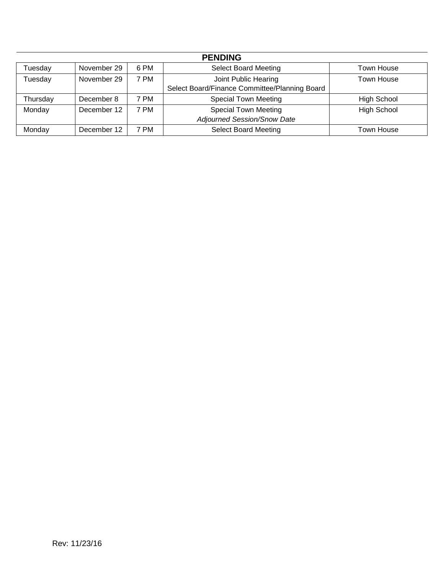| <b>PENDING</b> |             |           |                                               |                    |  |
|----------------|-------------|-----------|-----------------------------------------------|--------------------|--|
| Tuesday        | November 29 | 6 PM      | <b>Select Board Meeting</b>                   | Town House         |  |
| Tuesday        | November 29 | 7 PM      | Joint Public Hearing                          | Town House         |  |
|                |             |           | Select Board/Finance Committee/Planning Board |                    |  |
| Thursday       | December 8  | 7 PM      | <b>Special Town Meeting</b>                   | <b>High School</b> |  |
| Monday         | December 12 | 7 PM      | <b>Special Town Meeting</b>                   | <b>High School</b> |  |
|                |             |           | Adjourned Session/Snow Date                   |                    |  |
| Monday         | December 12 | <b>PM</b> | <b>Select Board Meeting</b>                   | Town House         |  |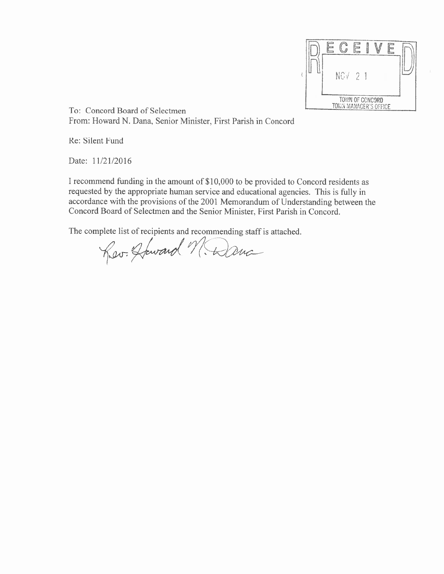Ē NOV 2 1 TOWN OF CONCORD<br>TOWN MANAGER'S OFFICE

To: Concord Board of Selectmen From: Howard N. Dana, Senior Minister, First Parish in Concord

Re: Silent Fund

Date: 11/21/2016

I recommend funding in the amount of \$10,000 to be provided to Concord residents as requested by the appropriate human service and educational agencies. This is fully in accordance with the provisions of the 2001 Memorandum of Understanding between the Concord Board of Selectmen and the Senior Minister, First Parish in Concord.

The complete list of recipients and recommending staff is attached.

Rev. Howard M. Danc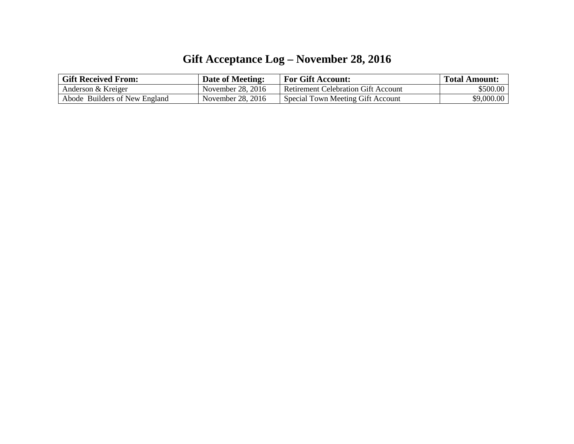# **Gift Acceptance Log – November 28, 2016**

| <b>Gift Received From:</b>    | <b>Date of Meeting:</b> | <b>For Gift Account:</b>                   | <b>Total Amount:</b> |
|-------------------------------|-------------------------|--------------------------------------------|----------------------|
| Anderson & Kreiger            | November 28, 2016       | <b>Retirement Celebration Gift Account</b> | \$500.00             |
| Abode Builders of New England | November 28, 2016       | Special Town Meeting Gift Account          | \$9,000.00           |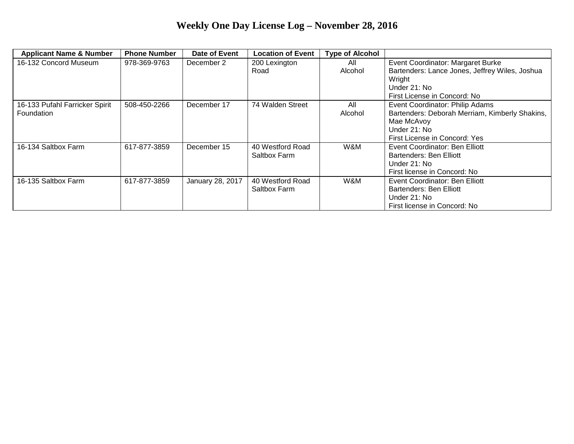# **Weekly One Day License Log – November 28, 2016**

| <b>Applicant Name &amp; Number</b> | <b>Phone Number</b> | Date of Event    | <b>Location of Event</b> | <b>Type of Alcohol</b> |                                                |
|------------------------------------|---------------------|------------------|--------------------------|------------------------|------------------------------------------------|
| 16-132 Concord Museum              | 978-369-9763        | December 2       | 200 Lexington            | All                    | Event Coordinator: Margaret Burke              |
|                                    |                     |                  | Road                     | Alcohol                | Bartenders: Lance Jones, Jeffrey Wiles, Joshua |
|                                    |                     |                  |                          |                        | Wright                                         |
|                                    |                     |                  |                          |                        | Under 21: No                                   |
|                                    |                     |                  |                          |                        | First License in Concord: No                   |
| 16-133 Pufahl Farricker Spirit     | 508-450-2266        | December 17      | 74 Walden Street         | All                    | Event Coordinator: Philip Adams                |
| Foundation                         |                     |                  |                          | Alcohol                | Bartenders: Deborah Merriam, Kimberly Shakins, |
|                                    |                     |                  |                          |                        | Mae McAvoy                                     |
|                                    |                     |                  |                          |                        | Under 21: No                                   |
|                                    |                     |                  |                          |                        | First License in Concord: Yes                  |
| 16-134 Saltbox Farm                | 617-877-3859        | December 15      | 40 Westford Road         | W&M                    | Event Coordinator: Ben Elliott                 |
|                                    |                     |                  | Saltbox Farm             |                        | Bartenders: Ben Elliott                        |
|                                    |                     |                  |                          |                        | Under 21: No                                   |
|                                    |                     |                  |                          |                        | First license in Concord: No                   |
| 16-135 Saltbox Farm                | 617-877-3859        | January 28, 2017 | 40 Westford Road         | W&M                    | Event Coordinator: Ben Elliott                 |
|                                    |                     |                  | Saltbox Farm             |                        | Bartenders: Ben Elliott                        |
|                                    |                     |                  |                          |                        | Under 21: No                                   |
|                                    |                     |                  |                          |                        | First license in Concord: No                   |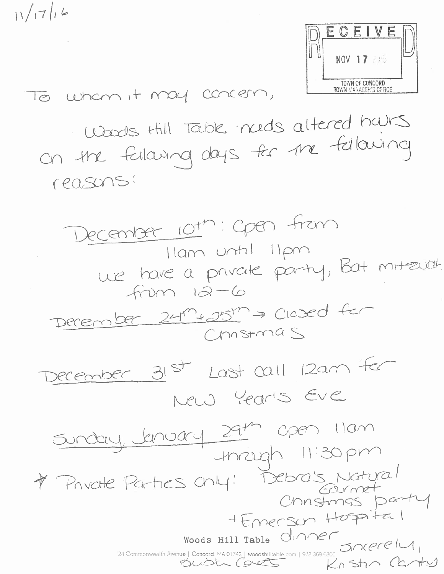$11/17/6$ 



To wham it may concern,

Wards thill Table needs altered hairs on the falcung days for the following reasons:

December 10th: Open from Ilam until lipm we have a private party, Bat mitzuel  $fnum 12-6$ December 24m+25m > Clased for  $C$ nstmas December 31st Last call 12am fer New Year's Eve Sunday January 29th Open Ilam<br>Iniziah 11:30 pm \* Private Partnes chy: Debra's Natural + Emerson Hospital Woods Hill Table CIANEL 24 Commonwealth Avenue | Concord. MA 01742 | woodshilltable.com | 978.369 6300 51 MCCCLU Knstin Cantus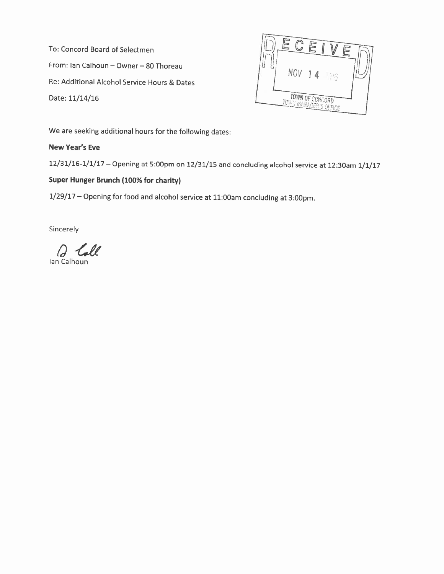To: Concord Board of Selectmen From: Ian Calhoun - Owner - 80 Thoreau Re: Additional Alcohol Service Hours & Dates Date: 11/14/16



We are seeking additional hours for the following dates:

New Year's Eve

12/31/16-1/1/17 - Opening at 5:00pm on 12/31/15 and concluding alcohol service at 12:30am 1/1/17

# Super Hunger Brunch (100% for charity)

1/29/17 - Opening for food and alcohol service at 11:00am concluding at 3:00pm.

Sincerely

lan Calhoun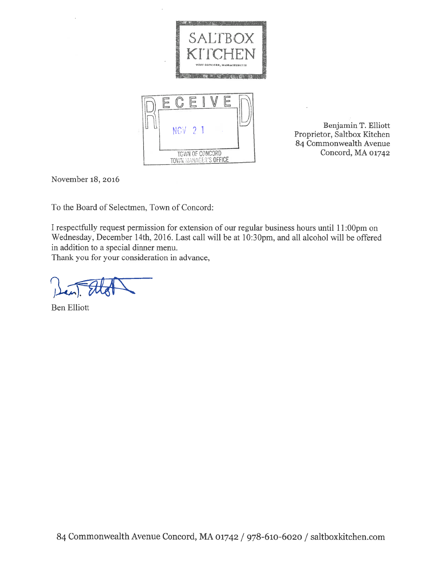

Benjamin T. Elliott Proprietor, Saltbox Kitchen 84 Commonwealth Avenue Concord, MA 01742

November 18, 2016

To the Board of Selectmen, Town of Concord:

I respectfully request permission for extension of our regular business hours until 11:00pm on Wednesday, December 14th, 2016. Last call will be at 10:30pm, and all alcohol will be offered in addition to a special dinner menu.

Thank you for your consideration in advance,

**Ben Elliott**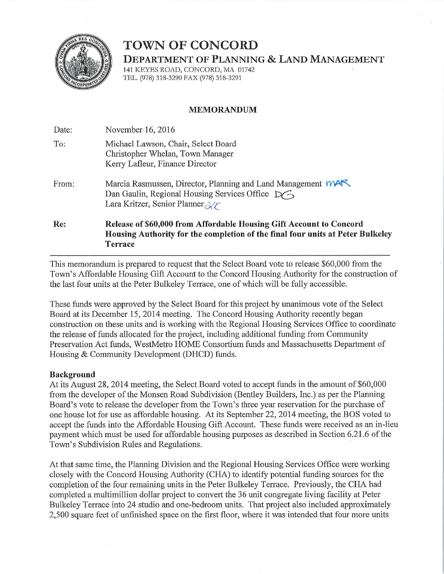

# **TOWN OF CONCORD**

**DEPARTMENT OF PLANNING & LAND MANAGEMENT** 

141 KEYES ROAD, CONCORD, MA 01742 TEL. (978) 318-3290 FAX (978) 318-3291

#### **MEMORANDUM**

Date: November 16, 2016

| To: | Michael Lawson, Chair, Select Board |  |
|-----|-------------------------------------|--|
|     | Christopher Whelan, Town Manager    |  |
|     | Kerry Lafleur, Finance Director     |  |

Marcia Rasmussen, Director, Planning and Land Management MAR From: Dan Gaulin, Regional Housing Services Office  $\sum \rightarrow$ Lara Kritzer, Senior Planner

Re: Release of \$60,000 from Affordable Housing Gift Account to Concord Housing Authority for the completion of the final four units at Peter Bulkeley **Terrace** 

This memorandum is prepared to request that the Select Board vote to release \$60,000 from the Town's Affordable Housing Gift Account to the Concord Housing Authority for the construction of the last four units at the Peter Bulkeley Terrace, one of which will be fully accessible.

These funds were approved by the Select Board for this project by unanimous vote of the Select Board at its December 15, 2014 meeting. The Concord Housing Authority recently began construction on these units and is working with the Regional Housing Services Office to coordinate the release of funds allocated for the project, including additional funding from Community Preservation Act funds, WestMetro HOME Consortium funds and Massachusetts Department of Housing & Community Development (DHCD) funds.

#### **Background**

At its August 28, 2014 meeting, the Select Board voted to accept funds in the amount of \$60,000 from the developer of the Monsen Road Subdivision (Bentley Builders, Inc.) as per the Planning Board's vote to release the developer from the Town's three year reservation for the purchase of one house lot for use as affordable housing. At its September 22, 2014 meeting, the BOS voted to accept the funds into the Affordable Housing Gift Account. These funds were received as an in-lieu payment which must be used for affordable housing purposes as described in Section 6.21.6 of the Town's Subdivision Rules and Regulations.

At that same time, the Planning Division and the Regional Housing Services Office were working closely with the Concord Housing Authority (CHA) to identify potential funding sources for the completion of the four remaining units in the Peter Bulkeley Terrace. Previously, the CHA had completed a multimillion dollar project to convert the 36 unit congregate living facility at Peter Bulkeley Terrace into 24 studio and one-bedroom units. That project also included approximately 2,500 square feet of unfinished space on the first floor, where it was intended that four more units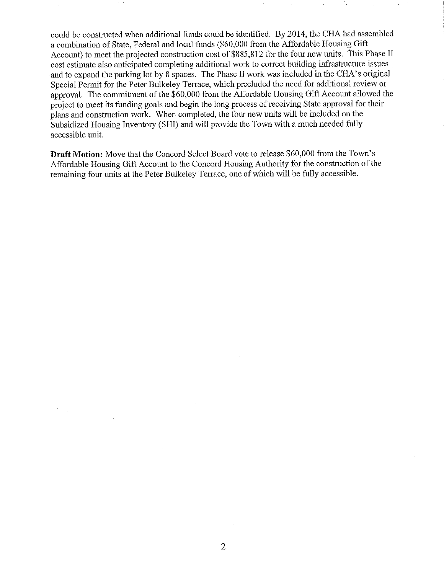could be constructed when additional funds could be identified. By 2014, the CHA had assembled a combination of State, Federal and local funds (\$60,000 from the Affordable Housing Gift Account) to meet the projected construction cost of \$885,812 for the four new units. This Phase II cost estimate also anticipated completing additional work to correct building infrastructure issues and to expand the parking lot by 8 spaces. The Phase II work was included in the CHA's original Special Permit for the Peter Bulkeley Terrace, which precluded the need for additional review or approval. The commitment of the  $$60,000$  from the Affordable Housing Gift Account allowed the project to meet its funding goals and begin the long process of receiving State approval for their plans and construction work. When completed, the four new units will be included on the Subsidized Housing Inventory (SHI) and will provide the Town with a much needed fully accessible unit.

Draft Motion: Move that the Concord Select Board vote to release \$60,000 from the Town's Affordable Housing Gift Account to the Concord Housing Authority for the construction of the remaining four units at the Peter Bulkeley Terrace, one of which will be fully accessible.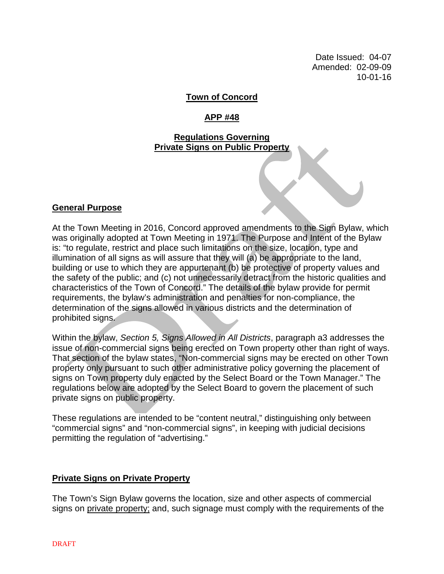Date Issued: 04-07 Amended: 02-09-09 10-01-16

# **Town of Concord**

# **APP #48**

### **Regulations Governing Private Signs on Public Property**

#### **General Purpose**

At the Town Meeting in 2016, Concord approved amendments to the Sign Bylaw, which was originally adopted at Town Meeting in 1971. The Purpose and Intent of the Bylaw is: "to regulate, restrict and place such limitations on the size, location, type and illumination of all signs as will assure that they will (a) be appropriate to the land, building or use to which they are appurtenant (b) be protective of property values and the safety of the public; and (c) not unnecessarily detract from the historic qualities and characteristics of the Town of Concord." The details of the bylaw provide for permit requirements, the bylaw's administration and penalties for non-compliance, the determination of the signs allowed in various districts and the determination of prohibited signs.

Within the bylaw, *Section 5, Signs Allowed in All Districts*, paragraph a3 addresses the issue of non-commercial signs being erected on Town property other than right of ways. That section of the bylaw states, "Non-commercial signs may be erected on other Town property only pursuant to such other administrative policy governing the placement of signs on Town property duly enacted by the Select Board or the Town Manager." The regulations below are adopted by the Select Board to govern the placement of such private signs on public property.

These regulations are intended to be "content neutral," distinguishing only between "commercial signs" and "non-commercial signs", in keeping with judicial decisions permitting the regulation of "advertising."

#### **Private Signs on Private Property**

The Town's Sign Bylaw governs the location, size and other aspects of commercial signs on private property; and, such signage must comply with the requirements of the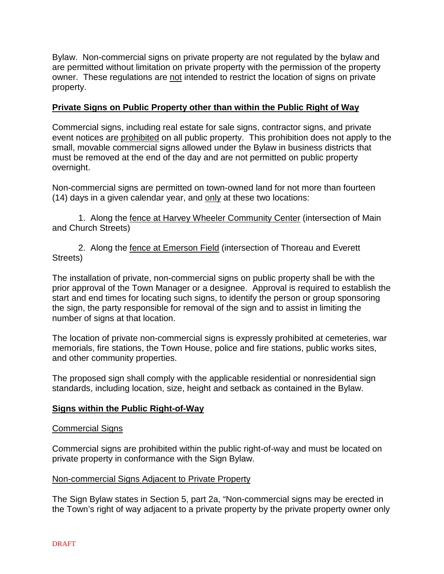Bylaw. Non-commercial signs on private property are not regulated by the bylaw and are permitted without limitation on private property with the permission of the property owner. These regulations are not intended to restrict the location of signs on private property.

## **Private Signs on Public Property other than within the Public Right of Way**

Commercial signs, including real estate for sale signs, contractor signs, and private event notices are prohibited on all public property. This prohibition does not apply to the small, movable commercial signs allowed under the Bylaw in business districts that must be removed at the end of the day and are not permitted on public property overnight.

Non-commercial signs are permitted on town-owned land for not more than fourteen (14) days in a given calendar year, and only at these two locations:

1. Along the fence at Harvey Wheeler Community Center (intersection of Main and Church Streets)

2. Along the fence at Emerson Field (intersection of Thoreau and Everett Streets)

The installation of private, non-commercial signs on public property shall be with the prior approval of the Town Manager or a designee. Approval is required to establish the start and end times for locating such signs, to identify the person or group sponsoring the sign, the party responsible for removal of the sign and to assist in limiting the number of signs at that location.

The location of private non-commercial signs is expressly prohibited at cemeteries, war memorials, fire stations, the Town House, police and fire stations, public works sites, and other community properties.

The proposed sign shall comply with the applicable residential or nonresidential sign standards, including location, size, height and setback as contained in the Bylaw.

#### **Signs within the Public Right-of-Way**

#### Commercial Signs

Commercial signs are prohibited within the public right-of-way and must be located on private property in conformance with the Sign Bylaw.

#### Non-commercial Signs Adjacent to Private Property

The Sign Bylaw states in Section 5, part 2a, "Non-commercial signs may be erected in the Town's right of way adjacent to a private property by the private property owner only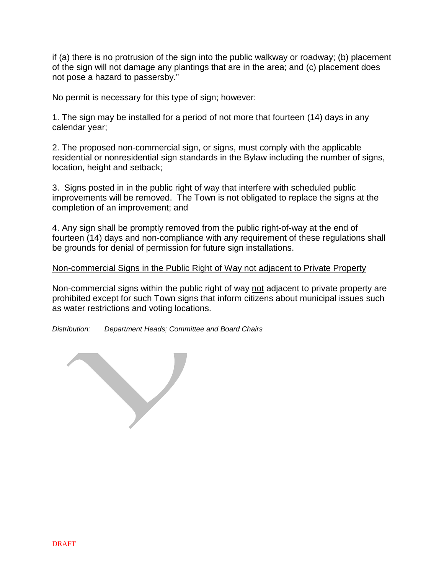if (a) there is no protrusion of the sign into the public walkway or roadway; (b) placement of the sign will not damage any plantings that are in the area; and (c) placement does not pose a hazard to passersby."

No permit is necessary for this type of sign; however:

1. The sign may be installed for a period of not more that fourteen (14) days in any calendar year;

2. The proposed non-commercial sign, or signs, must comply with the applicable residential or nonresidential sign standards in the Bylaw including the number of signs, location, height and setback;

3. Signs posted in in the public right of way that interfere with scheduled public improvements will be removed. The Town is not obligated to replace the signs at the completion of an improvement; and

4. Any sign shall be promptly removed from the public right-of-way at the end of fourteen (14) days and non-compliance with any requirement of these regulations shall be grounds for denial of permission for future sign installations.

#### Non-commercial Signs in the Public Right of Way not adjacent to Private Property

Non-commercial signs within the public right of way not adjacent to private property are prohibited except for such Town signs that inform citizens about municipal issues such as water restrictions and voting locations.

*Distribution: Department Heads; Committee and Board Chairs*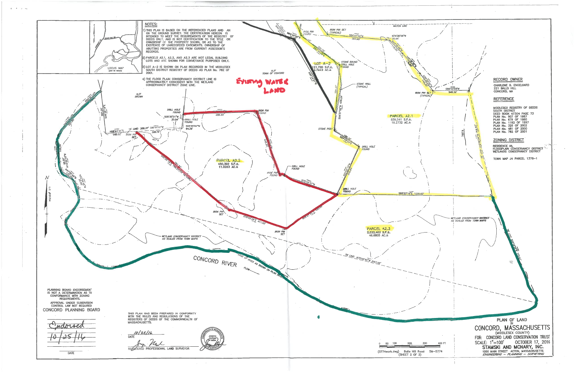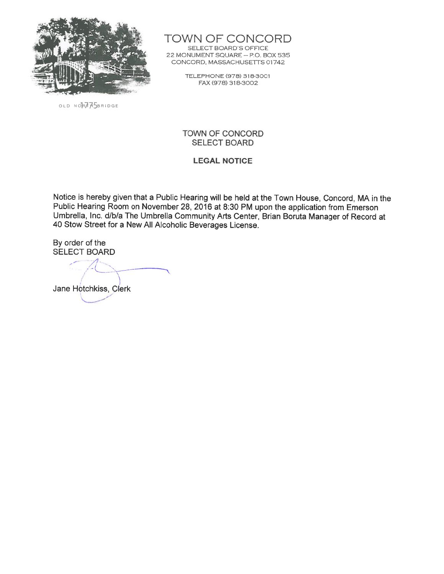

OLD NORTHASBRIDGE

TOWN OF CONCORD

SELECT BOARD'S OFFICE 22 MONUMENT SQUARE - P.O. BOX 535 CONCORD, MASSACHUSETTS 01742

> TELEPHONE (978) 318-3001 FAX (978) 318-3002

#### TOWN OF CONCORD **SELECT BOARD**

#### **LEGAL NOTICE**

Notice is hereby given that a Public Hearing will be held at the Town House, Concord, MA in the Public Hearing Room on November 28, 2016 at 8:30 PM upon the application from Emerson Umbrella, Inc. d/b/a The Umbrella Community Arts Center, Brian Boruta Manager of Record at 40 Stow Street for a New All Alcoholic Beverages License.

By order of the **SELECT BOARD** 

Jane Hotchkiss, Clerk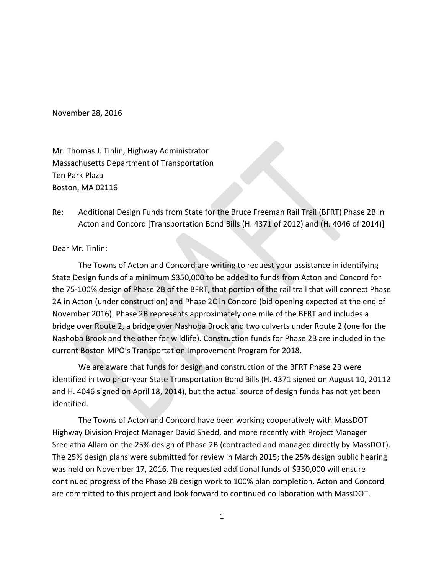November 28, 2016

Mr. Thomas J. Tinlin, Highway Administrator Massachusetts Department of Transportation Ten Park Plaza Boston, MA 02116

Re: Additional Design Funds from State for the Bruce Freeman Rail Trail (BFRT) Phase 2B in Acton and Concord [Transportation Bond Bills (H. 4371 of 2012) and (H. 4046 of 2014)]

Dear Mr. Tinlin:

The Towns of Acton and Concord are writing to request your assistance in identifying State Design funds of a minimum \$350,000 to be added to funds from Acton and Concord for the 75-100% design of Phase 2B of the BFRT, that portion of the rail trail that will connect Phase 2A in Acton (under construction) and Phase 2C in Concord (bid opening expected at the end of November 2016). Phase 2B represents approximately one mile of the BFRT and includes a bridge over Route 2, a bridge over Nashoba Brook and two culverts under Route 2 (one for the Nashoba Brook and the other for wildlife). Construction funds for Phase 2B are included in the current Boston MPO's Transportation Improvement Program for 2018.

We are aware that funds for design and construction of the BFRT Phase 2B were identified in two prior-year State Transportation Bond Bills (H. 4371 signed on August 10, 20112 and H. 4046 signed on April 18, 2014), but the actual source of design funds has not yet been identified.

The Towns of Acton and Concord have been working cooperatively with MassDOT Highway Division Project Manager David Shedd, and more recently with Project Manager Sreelatha Allam on the 25% design of Phase 2B (contracted and managed directly by MassDOT). The 25% design plans were submitted for review in March 2015; the 25% design public hearing was held on November 17, 2016. The requested additional funds of \$350,000 will ensure continued progress of the Phase 2B design work to 100% plan completion. Acton and Concord are committed to this project and look forward to continued collaboration with MassDOT.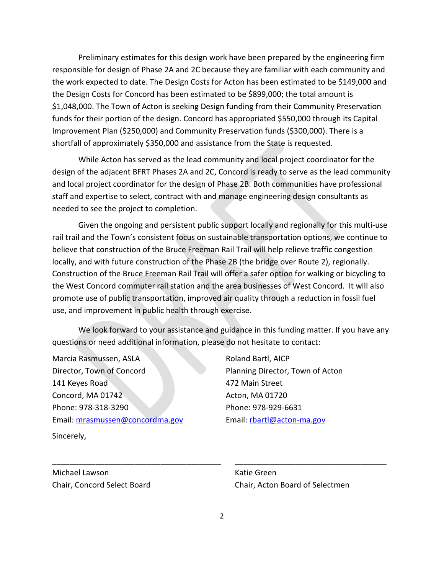Preliminary estimates for this design work have been prepared by the engineering firm responsible for design of Phase 2A and 2C because they are familiar with each community and the work expected to date. The Design Costs for Acton has been estimated to be \$149,000 and the Design Costs for Concord has been estimated to be \$899,000; the total amount is \$1,048,000. The Town of Acton is seeking Design funding from their Community Preservation funds for their portion of the design. Concord has appropriated \$550,000 through its Capital Improvement Plan (\$250,000) and Community Preservation funds (\$300,000). There is a shortfall of approximately \$350,000 and assistance from the State is requested.

While Acton has served as the lead community and local project coordinator for the design of the adjacent BFRT Phases 2A and 2C, Concord is ready to serve as the lead community and local project coordinator for the design of Phase 2B. Both communities have professional staff and expertise to select, contract with and manage engineering design consultants as needed to see the project to completion.

Given the ongoing and persistent public support locally and regionally for this multi-use rail trail and the Town's consistent focus on sustainable transportation options, we continue to believe that construction of the Bruce Freeman Rail Trail will help relieve traffic congestion locally, and with future construction of the Phase 2B (the bridge over Route 2), regionally. Construction of the Bruce Freeman Rail Trail will offer a safer option for walking or bicycling to the West Concord commuter rail station and the area businesses of West Concord. It will also promote use of public transportation, improved air quality through a reduction in fossil fuel use, and improvement in public health through exercise.

We look forward to your assistance and guidance in this funding matter. If you have any questions or need additional information, please do not hesitate to contact:

Marcia Rasmussen, ASLA Director, Town of Concord 141 Keyes Road Concord, MA 01742 Phone: 978-318-3290 Email: [mrasmussen@concordma.gov](mailto:mrasmussen@concordma.gov)

Sincerely,

Roland Bartl, AICP Planning Director, Town of Acton 472 Main Street Acton, MA 01720 Phone: 978-929-6631 Email: [rbartl@acton-ma.gov](mailto:rbartl@acton-ma.gov)

Michael Lawson **Katie Green** 

Chair, Concord Select Board Chair, Acton Board of Selectmen

\_\_\_\_\_\_\_\_\_\_\_\_\_\_\_\_\_\_\_\_\_\_\_\_\_\_\_\_\_\_\_\_\_\_\_\_\_\_\_ \_\_\_\_\_\_\_\_\_\_\_\_\_\_\_\_\_\_\_\_\_\_\_\_\_\_\_\_\_\_\_\_\_\_\_